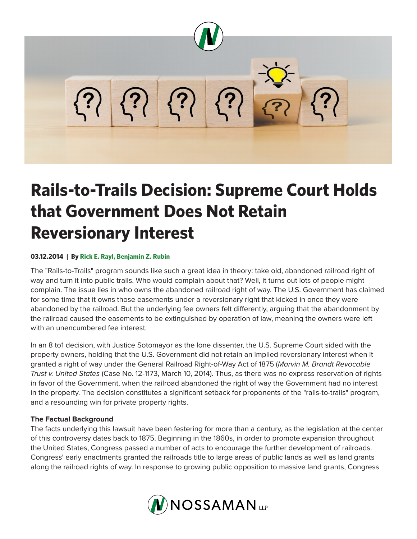

# **Rails-to-Trails Decision: Supreme Court Holds that Government Does Not Retain Reversionary Interest**

# **03.12.2014 | By Rick E. Rayl, Benjamin Z. Rubin**

The "Rails-to-Trails" program sounds like such a great idea in theory: take old, abandoned railroad right of way and turn it into public trails. Who would complain about that? Well, it turns out lots of people might complain. The issue lies in who owns the abandoned railroad right of way. The U.S. Government has claimed for some time that it owns those easements under a reversionary right that kicked in once they were abandoned by the railroad. But the underlying fee owners felt differently, arguing that the abandonment by the railroad caused the easements to be extinguished by operation of law, meaning the owners were left with an unencumbered fee interest.

In an 8 to1 decision, with Justice Sotomayor as the lone dissenter, the U.S. Supreme Court sided with the property owners, holding that the U.S. Government did not retain an implied reversionary interest when it granted a right of way under the General Railroad Right-of-Way Act of 1875 (*Marvin M. Brandt Revocable Trust v. United States* (Case No. 12-1173, March 10, 2014). Thus, as there was no express reservation of rights in favor of the Government, when the railroad abandoned the right of way the Government had no interest in the property. The decision constitutes a significant setback for proponents of the "rails-to-trails" program, and a resounding win for private property rights.

## **The Factual Background**

The facts underlying this lawsuit have been festering for more than a century, as the legislation at the center of this controversy dates back to 1875. Beginning in the 1860s, in order to promote expansion throughout the United States, Congress passed a number of acts to encourage the further development of railroads. Congress' early enactments granted the railroads title to large areas of public lands as well as land grants along the railroad rights of way. In response to growing public opposition to massive land grants, Congress

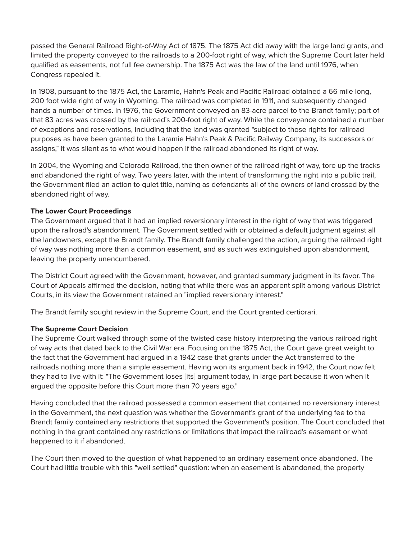passed the General Railroad Right-of-Way Act of 1875. The 1875 Act did away with the large land grants, and limited the property conveyed to the railroads to a 200-foot right of way, which the Supreme Court later held qualified as easements, not full fee ownership. The 1875 Act was the law of the land until 1976, when Congress repealed it.

In 1908, pursuant to the 1875 Act, the Laramie, Hahn's Peak and Pacific Railroad obtained a 66 mile long, 200 foot wide right of way in Wyoming. The railroad was completed in 1911, and subsequently changed hands a number of times. In 1976, the Government conveyed an 83-acre parcel to the Brandt family; part of that 83 acres was crossed by the railroad's 200-foot right of way. While the conveyance contained a number of exceptions and reservations, including that the land was granted "subject to those rights for railroad purposes as have been granted to the Laramie Hahn's Peak & Pacific Railway Company, its successors or assigns," it was silent as to what would happen if the railroad abandoned its right of way.

In 2004, the Wyoming and Colorado Railroad, the then owner of the railroad right of way, tore up the tracks and abandoned the right of way. Two years later, with the intent of transforming the right into a public trail, the Government filed an action to quiet title, naming as defendants all of the owners of land crossed by the abandoned right of way.

# **The Lower Court Proceedings**

The Government argued that it had an implied reversionary interest in the right of way that was triggered upon the railroad's abandonment. The Government settled with or obtained a default judgment against all the landowners, except the Brandt family. The Brandt family challenged the action, arguing the railroad right of way was nothing more than a common easement, and as such was extinguished upon abandonment, leaving the property unencumbered.

The District Court agreed with the Government, however, and granted summary judgment in its favor. The Court of Appeals affirmed the decision, noting that while there was an apparent split among various District Courts, in its view the Government retained an "implied reversionary interest."

The Brandt family sought review in the Supreme Court, and the Court granted certiorari.

## **The Supreme Court Decision**

The Supreme Court walked through some of the twisted case history interpreting the various railroad right of way acts that dated back to the Civil War era. Focusing on the 1875 Act, the Court gave great weight to the fact that the Government had argued in a 1942 case that grants under the Act transferred to the railroads nothing more than a simple easement. Having won its argument back in 1942, the Court now felt they had to live with it: "The Government loses [its] argument today, in large part because it won when it argued the opposite before this Court more than 70 years ago."

Having concluded that the railroad possessed a common easement that contained no reversionary interest in the Government, the next question was whether the Government's grant of the underlying fee to the Brandt family contained any restrictions that supported the Government's position. The Court concluded that nothing in the grant contained any restrictions or limitations that impact the railroad's easement or what happened to it if abandoned.

The Court then moved to the question of what happened to an ordinary easement once abandoned. The Court had little trouble with this "well settled" question: when an easement is abandoned, the property